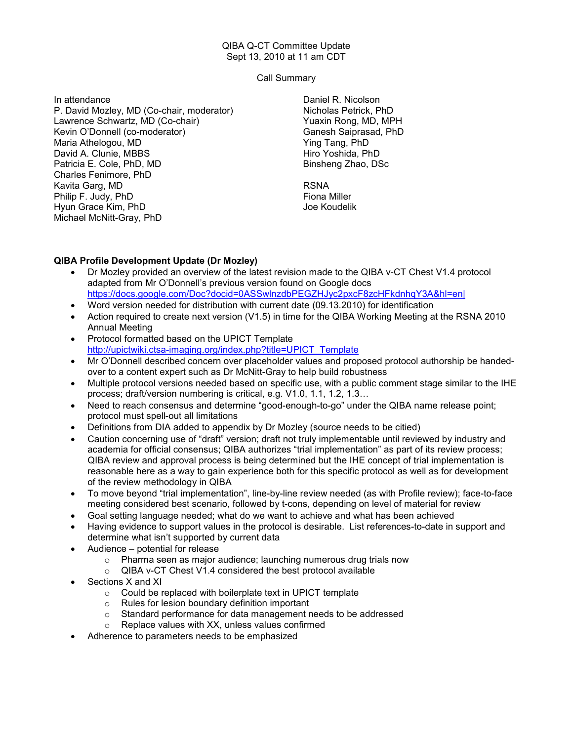## QIBA Q-CT Committee Update Sept 13, 2010 at 11 am CDT

Call Summary

In attendance P. David Mozley, MD (Co-chair, moderator) Lawrence Schwartz, MD (Co-chair) Kevin O'Donnell (co-moderator) Maria Athelogou, MD David A. Clunie, MBBS Patricia E. Cole, PhD, MD Charles Fenimore, PhD Kavita Garg, MD Philip F. Judy, PhD Hyun Grace Kim, PhD Michael McNitt-Gray, PhD

Daniel R. Nicolson Nicholas Petrick, PhD Yuaxin Rong, MD, MPH Ganesh Saiprasad, PhD Ying Tang, PhD Hiro Yoshida, PhD Binsheng Zhao, DSc

RSNA Fiona Miller Joe Koudelik

## QIBA Profile Development Update (Dr Mozley)

- Dr Mozley provided an overview of the latest revision made to the QIBA v-CT Chest V1.4 protocol adapted from Mr O'Donnell's previous version found on Google docs https://docs.google.com/Doc?docid=0ASSwlnzdbPEGZHJyc2pxcF8zcHFkdnhqY3A&hl=en|
- Word version needed for distribution with current date (09.13.2010) for identification
- Action required to create next version (V1.5) in time for the QIBA Working Meeting at the RSNA 2010 Annual Meeting
- Protocol formatted based on the UPICT Template http://upictwiki.ctsa-imaging.org/index.php?title=UPICT\_Template
- Mr O'Donnell described concern over placeholder values and proposed protocol authorship be handedover to a content expert such as Dr McNitt-Gray to help build robustness
- Multiple protocol versions needed based on specific use, with a public comment stage similar to the IHE process; draft/version numbering is critical, e.g. V1.0, 1.1, 1.2, 1.3…
- Need to reach consensus and determine "good-enough-to-go" under the QIBA name release point; protocol must spell-out all limitations
- Definitions from DIA added to appendix by Dr Mozley (source needs to be citied)
- Caution concerning use of "draft" version; draft not truly implementable until reviewed by industry and academia for official consensus; QIBA authorizes "trial implementation" as part of its review process; QIBA review and approval process is being determined but the IHE concept of trial implementation is reasonable here as a way to gain experience both for this specific protocol as well as for development of the review methodology in QIBA
- To move beyond "trial implementation", line-by-line review needed (as with Profile review); face-to-face meeting considered best scenario, followed by t-cons, depending on level of material for review
- Goal setting language needed; what do we want to achieve and what has been achieved
- Having evidence to support values in the protocol is desirable. List references-to-date in support and determine what isn't supported by current data
- Audience potential for release
	- o Pharma seen as major audience; launching numerous drug trials now
	- o QIBA v-CT Chest V1.4 considered the best protocol available
- Sections X and XI
	- o Could be replaced with boilerplate text in UPICT template
	- o Rules for lesion boundary definition important
	- o Standard performance for data management needs to be addressed
	- o Replace values with XX, unless values confirmed
- Adherence to parameters needs to be emphasized